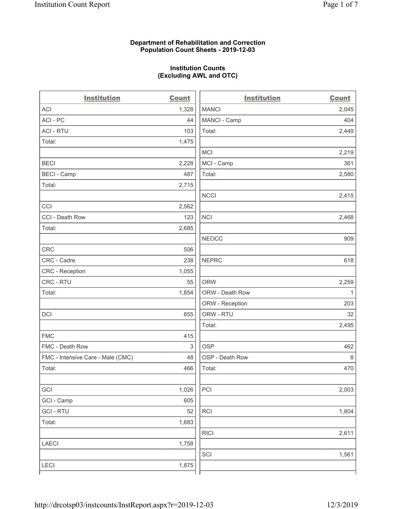#### **Department of Rehabilitation and Correction Population Count Sheets - 2019-12-03**

# **Institution Counts (Excluding AWL and OTC)**

. .

| <b>Institution</b>                | <b>Count</b> | <b>Institution</b> | Count        |
|-----------------------------------|--------------|--------------------|--------------|
| <b>ACI</b>                        | 1,328        | <b>MANCI</b>       | 2,045        |
| ACI-PC                            | 44           | MANCI - Camp       | 404          |
| <b>ACI - RTU</b>                  | 103          | Total:             | 2,449        |
| Total:                            | 1,475        |                    |              |
|                                   |              | MCI                | 2,219        |
| <b>BECI</b>                       | 2,228        | MCI - Camp         | 361          |
| <b>BECI - Camp</b>                | 487          | Total:             | 2,580        |
| Total:                            | 2,715        |                    |              |
|                                   |              | <b>NCCI</b>        | 2,415        |
| CCI                               | 2,562        |                    |              |
| CCI - Death Row                   | 123          | <b>NCI</b>         | 2,468        |
| Total:                            | 2,685        |                    |              |
|                                   |              | <b>NEOCC</b>       | 909          |
| <b>CRC</b>                        | 506          |                    |              |
| CRC - Cadre                       | 238          | <b>NEPRC</b>       | 618          |
| <b>CRC</b> - Reception            | 1,055        |                    |              |
| CRC - RTU                         | 55           | <b>ORW</b>         | 2,259        |
| Total:                            | 1,854        | ORW - Death Row    | $\mathbf{1}$ |
|                                   |              | ORW - Reception    | 203          |
| DCI                               | 855          | ORW - RTU          | 32           |
|                                   |              | Total:             | 2,495        |
| <b>FMC</b>                        | 415          |                    |              |
| FMC - Death Row                   | $\sqrt{3}$   | <b>OSP</b>         | 462          |
| FMC - Intensive Care - Male (CMC) | 48           | OSP - Death Row    | 8            |
| Total:                            | 466          | Total:             | 470          |
|                                   |              |                    |              |
| GCI                               | 1,026        | PCI                | 2,003        |
| GCI - Camp                        | 605          |                    |              |
| <b>GCI-RTU</b>                    | 52           | <b>RCI</b>         | 1,804        |
| Total:                            | 1,683        |                    |              |
|                                   |              | <b>RICI</b>        | 2,611        |
| <b>LAECI</b>                      | 1,758        |                    |              |
|                                   |              | SCI                | 1,561        |
| <b>LECI</b>                       | 1,875        |                    |              |
|                                   |              |                    |              |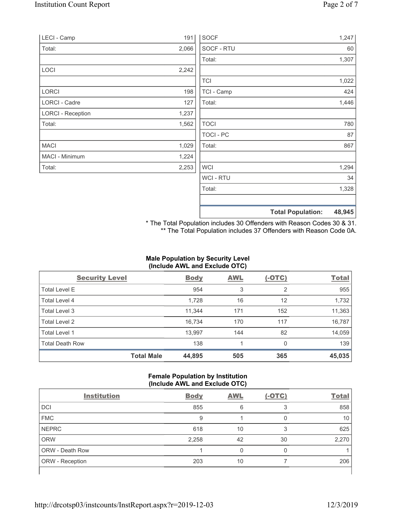| LECI - Camp              | 191   | <b>SOCF</b>    | 1,247                              |
|--------------------------|-------|----------------|------------------------------------|
| Total:                   | 2,066 | SOCF - RTU     | 60                                 |
|                          |       | Total:         | 1,307                              |
| LOCI                     | 2,242 |                |                                    |
|                          |       | <b>TCI</b>     | 1,022                              |
| <b>LORCI</b>             | 198   | TCI - Camp     | 424                                |
| LORCI - Cadre            | 127   | Total:         | 1,446                              |
| <b>LORCI - Reception</b> | 1,237 |                |                                    |
| Total:                   | 1,562 | <b>TOCI</b>    | 780                                |
|                          |       | TOCI - PC      | 87                                 |
| <b>MACI</b>              | 1,029 | Total:         | 867                                |
| MACI - Minimum           | 1,224 |                |                                    |
| Total:                   | 2,253 | <b>WCI</b>     | 1,294                              |
|                          |       | <b>WCI-RTU</b> | 34                                 |
|                          |       | Total:         | 1,328                              |
|                          |       |                | 48,945<br><b>Total Population:</b> |

\* The Total Population includes 30 Offenders with Reason Codes 30 & 31. \*\* The Total Population includes 37 Offenders with Reason Code 0A.

# **Male Population by Security Level (Include AWL and Exclude OTC)**

| <b>Security Level</b>  |                   | <b>Body</b> | <b>AWL</b> | $(-OTC)$ | <b>Total</b> |
|------------------------|-------------------|-------------|------------|----------|--------------|
| <b>Total Level E</b>   |                   | 954         | 3          | 2        | 955          |
| <b>Total Level 4</b>   |                   | 1,728       | 16         | 12       | 1,732        |
| Total Level 3          |                   | 11,344      | 171        | 152      | 11,363       |
| Total Level 2          |                   | 16.734      | 170        | 117      | 16,787       |
| Total Level 1          |                   | 13,997      | 144        | 82       | 14,059       |
| <b>Total Death Row</b> |                   | 138         |            | $\Omega$ | 139          |
|                        | <b>Total Male</b> | 44,895      | 505        | 365      | 45,035       |

### **Female Population by Institution (Include AWL and Exclude OTC)**

| $\cdot$                |             | . .        |          |              |
|------------------------|-------------|------------|----------|--------------|
| <b>Institution</b>     | <b>Body</b> | <b>AWL</b> | $(-OTC)$ | <b>Total</b> |
| <b>DCI</b>             | 855         | 6          | 3        | 858          |
| <b>FMC</b>             | 9           |            |          | 10           |
| <b>NEPRC</b>           | 618         | 10         | 3        | 625          |
| <b>ORW</b>             | 2,258       | 42         | 30       | 2,270        |
| <b>ORW - Death Row</b> |             | 0          | 0        |              |
| <b>ORW</b> - Reception | 203         | 10         |          | 206          |
|                        |             |            |          |              |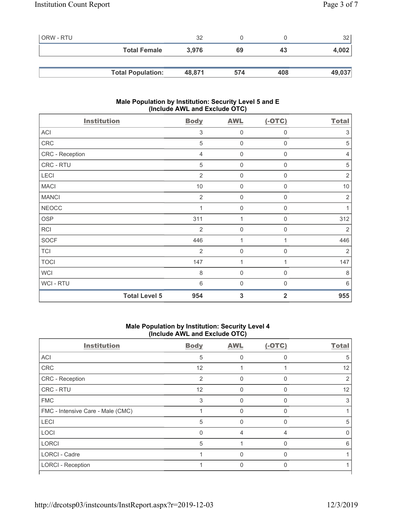| ORW - RTU |                          | 32     |     |     | 32     |
|-----------|--------------------------|--------|-----|-----|--------|
|           | <b>Total Female</b>      | 3.976  | 69  | 43  | 4,002  |
|           |                          |        |     |     |        |
|           | <b>Total Population:</b> | 48,871 | 574 | 408 | 49,037 |

## **Male Population by Institution: Security Level 5 and E (Include AWL and Exclude OTC)**

| <b>Institution</b>   | <b>Body</b>    | <b>AWL</b>          | $(-OTC)$         | <b>Total</b>   |
|----------------------|----------------|---------------------|------------------|----------------|
| ACI                  | 3              | $\mathbf 0$         | 0                | 3              |
| CRC                  | 5              | $\mathsf{O}\xspace$ | 0                | 5              |
| CRC - Reception      | $\overline{4}$ | $\mathsf{O}\xspace$ | 0                | $\overline{4}$ |
| CRC - RTU            | 5              | $\mathsf{O}\xspace$ | $\mathbf 0$      | 5              |
| LECI                 | 2              | $\mathbf 0$         | $\boldsymbol{0}$ | $\overline{2}$ |
| <b>MACI</b>          | $10$           | $\mathbf 0$         | $\mathbf 0$      | 10             |
| <b>MANCI</b>         | $\overline{2}$ | $\mathsf{O}\xspace$ | 0                | $\sqrt{2}$     |
| <b>NEOCC</b>         |                | $\mathbf 0$         | 0                | 1              |
| <b>OSP</b>           | 311            | 1                   | 0                | 312            |
| RCI                  | $\overline{2}$ | $\mathsf{O}\xspace$ | $\mathbf 0$      | $\overline{2}$ |
| <b>SOCF</b>          | 446            | 1                   | 1                | 446            |
| <b>TCI</b>           | $\overline{2}$ | $\mathsf{O}\xspace$ | $\mathbf 0$      | $\overline{2}$ |
| <b>TOCI</b>          | 147            | 1                   | 1                | 147            |
| <b>WCI</b>           | 8              | $\mathbf 0$         | 0                | 8              |
| WCI - RTU            | 6              | $\mathbf 0$         | $\mathbf 0$      | $6\,$          |
| <b>Total Level 5</b> | 954            | 3                   | $\overline{2}$   | 955            |

## **Male Population by Institution: Security Level 4 (Include AWL and Exclude OTC)**

| <b>Institution</b>                | <b>Body</b> | <b>AWL</b> | $(-OTC)$     | <b>Total</b> |
|-----------------------------------|-------------|------------|--------------|--------------|
| <b>ACI</b>                        | 5           | $\Omega$   | 0            | 5            |
| CRC                               | 12          |            |              | 12           |
| CRC - Reception                   | 2           | U          | $\Omega$     | 2            |
| CRC - RTU                         | 12          | 0          | $\Omega$     | 12           |
| <b>FMC</b>                        | 3           | $\Omega$   | $\Omega$     | 3            |
| FMC - Intensive Care - Male (CMC) |             | $\Omega$   | $\Omega$     |              |
| LECI                              | 5           | $\Omega$   | $\mathbf{0}$ | 5            |
| LOCI                              | $\Omega$    | 4          | 4            |              |
| <b>LORCI</b>                      | 5           |            | $\Omega$     | 6            |
| <b>LORCI - Cadre</b>              |             | $\Omega$   | $\Omega$     |              |
| <b>LORCI - Reception</b>          |             | $\Omega$   | $\Omega$     |              |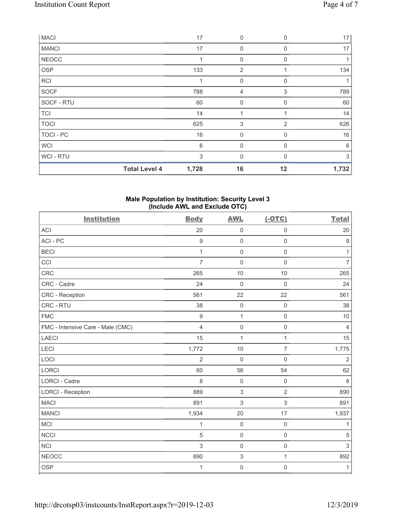| <b>MACI</b>      |                      | 17    | $\boldsymbol{0}$ | $\mathbf 0$    | 17    |
|------------------|----------------------|-------|------------------|----------------|-------|
| <b>MANCI</b>     |                      | 17    | $\mathbf 0$      | 0              | 17    |
| <b>NEOCC</b>     |                      |       | $\mathbf 0$      | 0              |       |
| <b>OSP</b>       |                      | 133   | $\overline{2}$   |                | 134   |
| <b>RCI</b>       |                      | 1     | $\mathbf 0$      | $\Omega$       |       |
| SOCF             |                      | 788   | 4                | 3              | 789   |
| SOCF - RTU       |                      | 60    | $\boldsymbol{0}$ | $\mathbf 0$    | 60    |
| <b>TCI</b>       |                      | 14    | 1                |                | 14    |
| <b>TOCI</b>      |                      | 625   | 3                | $\overline{2}$ | 626   |
| <b>TOCI - PC</b> |                      | 16    | $\mathbf{0}$     | $\Omega$       | 16    |
| <b>WCI</b>       |                      | 6     | $\mathbf{0}$     | $\Omega$       | 6     |
| WCI - RTU        |                      | 3     | $\mathbf{0}$     | $\Omega$       | 3     |
|                  | <b>Total Level 4</b> | 1,728 | 16               | 12             | 1,732 |

#### **Male Population by Institution: Security Level 3 (Include AWL and Exclude OTC)**

| <b>Institution</b>                | <b>Body</b>      | <b>AWL</b>          | $(-OTC)$            | <b>Total</b>     |
|-----------------------------------|------------------|---------------------|---------------------|------------------|
| <b>ACI</b>                        | 20               | $\mathsf{O}\xspace$ | $\mathbf 0$         | 20               |
| ACI-PC                            | $\boldsymbol{9}$ | $\mathsf{O}\xspace$ | $\mathsf 0$         | $\boldsymbol{9}$ |
| <b>BECI</b>                       | 1                | $\mathbf 0$         | $\mathbf 0$         | 1                |
| CCI                               | $\overline{7}$   | $\mathbf 0$         | $\mathbf 0$         | $\overline{7}$   |
| <b>CRC</b>                        | 265              | 10                  | 10                  | 265              |
| CRC - Cadre                       | 24               | $\mathbf 0$         | $\mathbf 0$         | 24               |
| CRC - Reception                   | 561              | 22                  | 22                  | 561              |
| CRC - RTU                         | 38               | $\mathbf 0$         | $\mathbf 0$         | 38               |
| <b>FMC</b>                        | $9\,$            | $\mathbf{1}$        | $\mathsf 0$         | 10               |
| FMC - Intensive Care - Male (CMC) | $\overline{4}$   | $\mathsf{O}\xspace$ | $\mathsf{O}\xspace$ | $\overline{4}$   |
| <b>LAECI</b>                      | 15               | $\mathbf{1}$        | $\mathbf{1}$        | 15               |
| LECI                              | 1,772            | 10                  | $\overline{7}$      | 1,775            |
| LOCI                              | $\overline{2}$   | $\mathbf 0$         | $\mathbf 0$         | $\overline{2}$   |
| <b>LORCI</b>                      | 60               | 56                  | 54                  | 62               |
| LORCI - Cadre                     | 8                | $\mathbf 0$         | $\mathsf 0$         | $\,8\,$          |
| <b>LORCI - Reception</b>          | 889              | $\,$ 3 $\,$         | $\overline{2}$      | 890              |
| <b>MACI</b>                       | 891              | 3                   | 3                   | 891              |
| <b>MANCI</b>                      | 1,934            | 20                  | 17                  | 1,937            |
| MCI                               | 1                | $\mathsf{O}\xspace$ | $\mathsf 0$         | 1                |
| <b>NCCI</b>                       | 5                | $\mathsf{O}\xspace$ | $\mathsf{O}\xspace$ | $\sqrt{5}$       |
| <b>NCI</b>                        | 3                | $\mathsf{O}\xspace$ | $\mathsf{O}\xspace$ | $\sqrt{3}$       |
| <b>NEOCC</b>                      | 890              | $\sqrt{3}$          | $\mathbf{1}$        | 892              |
| OSP                               | 1                | $\mathbf 0$         | $\mathsf 0$         | $\mathbf{1}$     |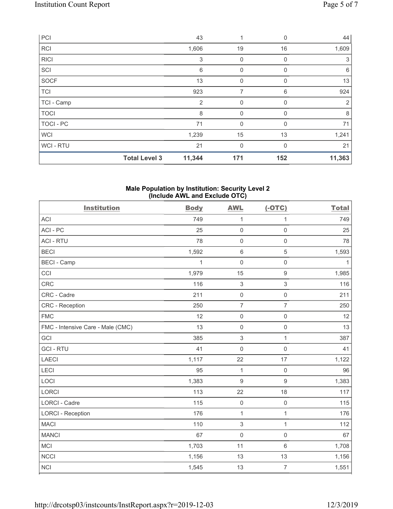| PCI            |                      | 43             | 1            | $\Omega$ | 44          |
|----------------|----------------------|----------------|--------------|----------|-------------|
| <b>RCI</b>     |                      | 1,606          | 19           | 16       | 1,609       |
| <b>RICI</b>    |                      | 3              | $\mathbf 0$  | $\Omega$ | $\mathbf 3$ |
| SCI            |                      | 6              | $\mathbf{0}$ | $\Omega$ | 6           |
| SOCF           |                      | 13             | $\mathbf{0}$ | $\Omega$ | 13          |
| <b>TCI</b>     |                      | 923            | 7            | 6        | 924         |
| TCI - Camp     |                      | $\overline{2}$ | $\mathbf 0$  | 0        | 2           |
| <b>TOCI</b>    |                      | 8              | 0            | 0        | 8           |
| TOCI - PC      |                      | 71             | $\mathbf{0}$ | 0        | 71          |
| <b>WCI</b>     |                      | 1,239          | 15           | 13       | 1,241       |
| <b>WCI-RTU</b> |                      | 21             | $\mathbf{0}$ | $\Omega$ | 21          |
|                | <b>Total Level 3</b> | 11,344         | 171          | 152      | 11,363      |

#### **Male Population by Institution: Security Level 2 (Include AWL and Exclude OTC)**

| <b>Institution</b>                | <b>Body</b> | <b>AWL</b>       | $(-OTC)$            | <b>Total</b> |
|-----------------------------------|-------------|------------------|---------------------|--------------|
| <b>ACI</b>                        | 749         | 1                | 1                   | 749          |
| ACI-PC                            | 25          | $\mathsf 0$      | $\mathbf 0$         | 25           |
| <b>ACI - RTU</b>                  | 78          | $\mathbf 0$      | $\mathsf 0$         | 78           |
| <b>BECI</b>                       | 1,592       | $\,6\,$          | 5                   | 1,593        |
| <b>BECI - Camp</b>                | 1           | $\mathbf 0$      | $\mathbf 0$         | $\mathbf{1}$ |
| CCI                               | 1,979       | 15               | 9                   | 1,985        |
| <b>CRC</b>                        | 116         | $\,$ 3 $\,$      | 3                   | 116          |
| CRC - Cadre                       | 211         | $\mathsf 0$      | $\mathsf{O}\xspace$ | 211          |
| <b>CRC</b> - Reception            | 250         | $\overline{7}$   | $\overline{7}$      | 250          |
| <b>FMC</b>                        | 12          | $\mathsf 0$      | $\mathsf{O}\xspace$ | 12           |
| FMC - Intensive Care - Male (CMC) | 13          | $\mathsf 0$      | $\mathsf{O}\xspace$ | 13           |
| GCI                               | 385         | $\,$ 3 $\,$      | $\mathbf{1}$        | 387          |
| <b>GCI-RTU</b>                    | 41          | $\mathbf 0$      | $\mathsf 0$         | 41           |
| LAECI                             | 1,117       | 22               | 17                  | 1,122        |
| LECI                              | 95          | $\mathbf{1}$     | $\mathsf{O}\xspace$ | 96           |
| LOCI                              | 1,383       | $\boldsymbol{9}$ | $\boldsymbol{9}$    | 1,383        |
| LORCI                             | 113         | 22               | 18                  | 117          |
| LORCI - Cadre                     | 115         | $\mathbf 0$      | $\mathbf 0$         | 115          |
| <b>LORCI - Reception</b>          | 176         | $\mathbf{1}$     | $\mathbf{1}$        | 176          |
| <b>MACI</b>                       | 110         | $\sqrt{3}$       | $\mathbf{1}$        | 112          |
| <b>MANCI</b>                      | 67          | $\mathbf 0$      | $\mathbf 0$         | 67           |
| <b>MCI</b>                        | 1,703       | 11               | 6                   | 1,708        |
| <b>NCCI</b>                       | 1,156       | 13               | 13                  | 1,156        |
| <b>NCI</b>                        | 1,545       | 13               | $\overline{7}$      | 1,551        |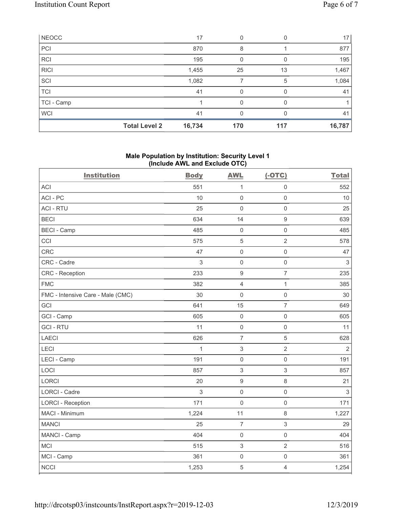| NEOCC       |                      | 17     | 0   |     | 17     |
|-------------|----------------------|--------|-----|-----|--------|
| PCI         |                      | 870    | 8   |     | 877    |
| <b>RCI</b>  |                      | 195    | 0   |     | 195    |
| <b>RICI</b> |                      | 1,455  | 25  | 13  | 1,467  |
| SCI         |                      | 1,082  |     | 5   | 1,084  |
| <b>TCI</b>  |                      | 41     | 0   |     | 41     |
| TCI - Camp  |                      |        | 0   |     |        |
| <b>WCI</b>  |                      | 41     | 0   |     | 41     |
|             | <b>Total Level 2</b> | 16,734 | 170 | 117 | 16,787 |

### **Male Population by Institution: Security Level 1 (Include AWL and Exclude OTC)**

| <b>Institution</b>                | <b>Body</b>  | <b>AWL</b>          | $(-OTC)$            | <b>Total</b> |
|-----------------------------------|--------------|---------------------|---------------------|--------------|
| <b>ACI</b>                        | 551          | $\mathbf{1}$        | $\mathsf 0$         | 552          |
| ACI-PC                            | 10           | $\mathbf 0$         | $\mathsf{O}\xspace$ | 10           |
| <b>ACI - RTU</b>                  | 25           | $\mathbf 0$         | $\mathbf 0$         | 25           |
| <b>BECI</b>                       | 634          | 14                  | $\boldsymbol{9}$    | 639          |
| <b>BECI - Camp</b>                | 485          | $\mathbf 0$         | $\mathsf{O}\xspace$ | 485          |
| CCI                               | 575          | 5                   | $\overline{2}$      | 578          |
| <b>CRC</b>                        | 47           | $\mathbf 0$         | $\mathsf 0$         | 47           |
| CRC - Cadre                       | 3            | $\mathsf{O}\xspace$ | $\mathsf{O}\xspace$ | $\sqrt{3}$   |
| <b>CRC</b> - Reception            | 233          | $\boldsymbol{9}$    | $\overline{7}$      | 235          |
| <b>FMC</b>                        | 382          | $\overline{4}$      | $\mathbf{1}$        | 385          |
| FMC - Intensive Care - Male (CMC) | 30           | $\mathsf{O}\xspace$ | $\mathsf{O}\xspace$ | 30           |
| GCI                               | 641          | 15                  | $\overline{7}$      | 649          |
| GCI - Camp                        | 605          | $\mathbf 0$         | $\mathbf 0$         | 605          |
| <b>GCI-RTU</b>                    | 11           | $\mathbf 0$         | $\mathbf 0$         | 11           |
| <b>LAECI</b>                      | 626          | $\overline{7}$      | $\overline{5}$      | 628          |
| LECI                              | $\mathbf{1}$ | $\sqrt{3}$          | $\overline{2}$      | $\sqrt{2}$   |
| LECI - Camp                       | 191          | $\mathbf 0$         | $\mathsf{O}\xspace$ | 191          |
| LOCI                              | 857          | 3                   | $\sqrt{3}$          | 857          |
| LORCI                             | 20           | $\boldsymbol{9}$    | $\,8\,$             | 21           |
| <b>LORCI - Cadre</b>              | 3            | $\mathbf 0$         | $\mathbf 0$         | $\sqrt{3}$   |
| <b>LORCI - Reception</b>          | 171          | $\mathbf 0$         | $\mathsf 0$         | 171          |
| MACI - Minimum                    | 1,224        | 11                  | $\,8\,$             | 1,227        |
| <b>MANCI</b>                      | 25           | $\overline{7}$      | $\mathfrak{S}$      | 29           |
| MANCI - Camp                      | 404          | $\mathbf 0$         | $\mathsf{O}\xspace$ | 404          |
| <b>MCI</b>                        | 515          | $\sqrt{3}$          | $\overline{2}$      | 516          |
| MCI - Camp                        | 361          | $\mathbf 0$         | $\mathsf{O}\xspace$ | 361          |
| <b>NCCI</b>                       | 1,253        | $\sqrt{5}$          | $\sqrt{4}$          | 1,254        |